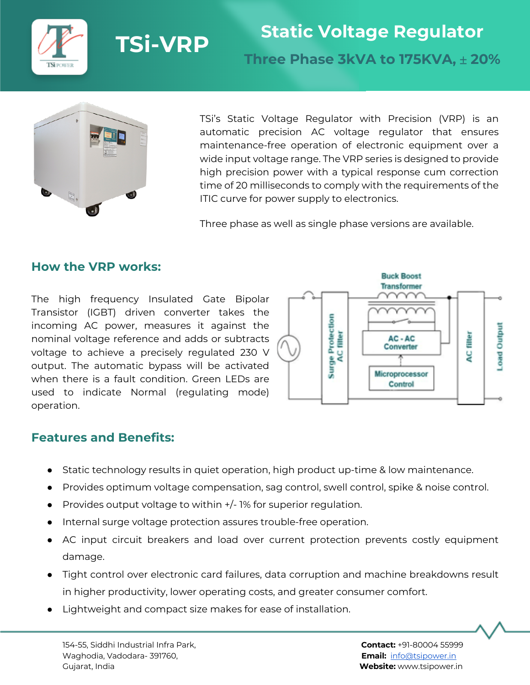



TSi's Static Voltage Regulator with Precision (VRP) is an automatic precision AC voltage regulator that ensures maintenance-free operation of electronic equipment over a wide input voltage range. The VRP series is designed to provide high precision power with a typical response cum correction time of 20 milliseconds to comply with the requirements of the ITIC curve for power supply to electronics.

Three phase as well as single phase versions are available.

#### **How the VRP works:**

The high frequency Insulated Gate Bipolar Transistor (IGBT) driven converter takes the incoming AC power, measures it against the nominal voltage reference and adds or subtracts voltage to achieve a precisely regulated 230 V output. The automatic bypass will be activated when there is a fault condition. Green LEDs are used to indicate Normal (regulating mode) operation.



#### **Features and Benefits:**

- Static technology results in quiet operation, high product up-time & low maintenance.
- Provides optimum voltage compensation, sag control, swell control, spike & noise control.
- $\bullet$  Provides output voltage to within  $+/-$  1% for superior regulation.
- Internal surge voltage protection assures trouble-free operation.
- AC input circuit breakers and load over current protection prevents costly equipment damage.
- Tight control over electronic card failures, data corruption and machine breakdowns result in higher productivity, lower operating costs, and greater consumer comfort.
- Lightweight and compact size makes for ease of installation.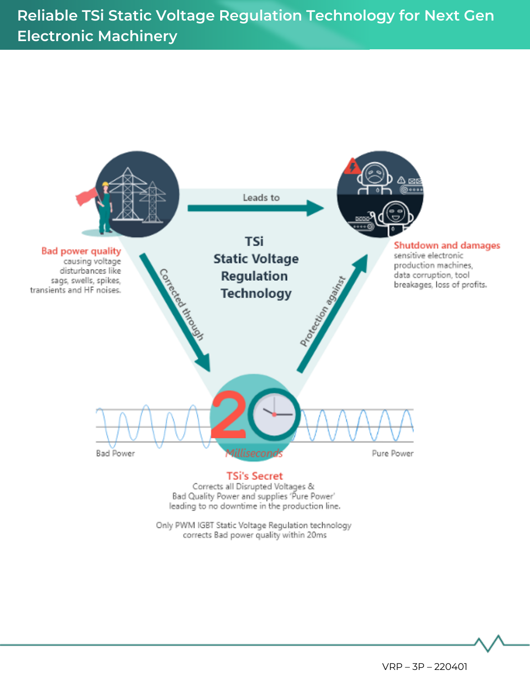**Technical Specifications Reliable TSi Static Voltage Regulation Technology for Next Gen Electronic Machinery**



Only PWM IGBT Static Voltage Regulation technology corrects Bad power quality within 20ms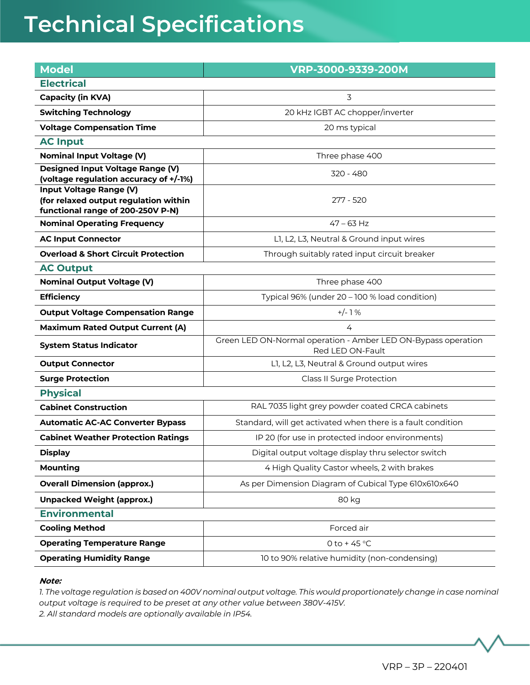| <b>Model</b>                                                               | VRP-3000-9339-200M                                                                |
|----------------------------------------------------------------------------|-----------------------------------------------------------------------------------|
| <b>Electrical</b>                                                          |                                                                                   |
| <b>Capacity (in KVA)</b>                                                   | 3                                                                                 |
| <b>Switching Technology</b>                                                | 20 kHz IGBT AC chopper/inverter                                                   |
| <b>Voltage Compensation Time</b>                                           | 20 ms typical                                                                     |
| <b>AC Input</b>                                                            |                                                                                   |
| <b>Nominal Input Voltage (V)</b>                                           | Three phase 400                                                                   |
| Designed Input Voltage Range (V)<br>(voltage regulation accuracy of +/-1%) | 320 - 480                                                                         |
| <b>Input Voltage Range (V)</b><br>(for relaxed output regulation within    | 277 - 520                                                                         |
| functional range of 200-250V P-N)<br><b>Nominal Operating Frequency</b>    | $47 - 63$ Hz                                                                      |
| <b>AC Input Connector</b>                                                  | L1, L2, L3, Neutral & Ground input wires                                          |
| <b>Overload &amp; Short Circuit Protection</b>                             | Through suitably rated input circuit breaker                                      |
| <b>AC Output</b>                                                           |                                                                                   |
| <b>Nominal Output Voltage (V)</b>                                          | Three phase 400                                                                   |
| <b>Efficiency</b>                                                          | Typical 96% (under 20 - 100 % load condition)                                     |
| <b>Output Voltage Compensation Range</b>                                   | $+/-1%$                                                                           |
| <b>Maximum Rated Output Current (A)</b>                                    | 4                                                                                 |
| <b>System Status Indicator</b>                                             | Green LED ON-Normal operation - Amber LED ON-Bypass operation<br>Red LED ON-Fault |
| <b>Output Connector</b>                                                    | L1, L2, L3, Neutral & Ground output wires                                         |
| <b>Surge Protection</b>                                                    | Class II Surge Protection                                                         |
| <b>Physical</b>                                                            |                                                                                   |
| <b>Cabinet Construction</b>                                                | RAL 7035 light grey powder coated CRCA cabinets                                   |
| <b>Automatic AC-AC Converter Bypass</b>                                    | Standard, will get activated when there is a fault condition                      |
| <b>Cabinet Weather Protection Ratings</b>                                  | IP 20 (for use in protected indoor environments)                                  |
| <b>Display</b>                                                             | Digital output voltage display thru selector switch                               |
| <b>Mounting</b>                                                            | 4 High Quality Castor wheels, 2 with brakes                                       |
| <b>Overall Dimension (approx.)</b>                                         | As per Dimension Diagram of Cubical Type 610x610x640                              |
| <b>Unpacked Weight (approx.)</b>                                           | 80 kg                                                                             |
| <b>Environmental</b>                                                       |                                                                                   |
| <b>Cooling Method</b>                                                      | Forced air                                                                        |
| <b>Operating Temperature Range</b>                                         | 0 to +45 $°C$                                                                     |
| <b>Operating Humidity Range</b>                                            | 10 to 90% relative humidity (non-condensing)                                      |
|                                                                            |                                                                                   |

#### **Note:**

*1. The voltage regulation is based on 400V nominal output voltage. This would proportionately change in case nominal output voltage is required to be preset at any other value between 380V-415V. 2. All standard models are optionally available in IP54.*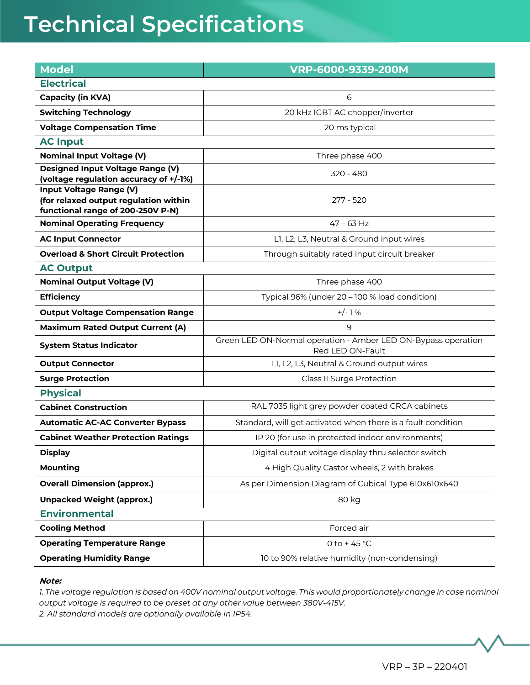| <b>Model</b>                                                                                          | VRP-6000-9339-200M                                                                |
|-------------------------------------------------------------------------------------------------------|-----------------------------------------------------------------------------------|
| <b>Electrical</b>                                                                                     |                                                                                   |
| <b>Capacity (in KVA)</b>                                                                              | 6                                                                                 |
| <b>Switching Technology</b>                                                                           | 20 kHz IGBT AC chopper/inverter                                                   |
| <b>Voltage Compensation Time</b>                                                                      | 20 ms typical                                                                     |
| <b>AC Input</b>                                                                                       |                                                                                   |
| <b>Nominal Input Voltage (V)</b>                                                                      | Three phase 400                                                                   |
| Designed Input Voltage Range (V)<br>(voltage regulation accuracy of +/-1%)                            | 320 - 480                                                                         |
| Input Voltage Range (V)<br>(for relaxed output regulation within<br>functional range of 200-250V P-N) | 277 - 520                                                                         |
| <b>Nominal Operating Frequency</b>                                                                    | $47 - 63$ Hz                                                                      |
| <b>AC Input Connector</b>                                                                             | L1, L2, L3, Neutral & Ground input wires                                          |
| <b>Overload &amp; Short Circuit Protection</b>                                                        | Through suitably rated input circuit breaker                                      |
| <b>AC Output</b>                                                                                      |                                                                                   |
| <b>Nominal Output Voltage (V)</b>                                                                     | Three phase 400                                                                   |
| <b>Efficiency</b>                                                                                     | Typical 96% (under 20 - 100 % load condition)                                     |
| <b>Output Voltage Compensation Range</b>                                                              | $+/-1%$                                                                           |
| <b>Maximum Rated Output Current (A)</b>                                                               | 9                                                                                 |
| <b>System Status Indicator</b>                                                                        | Green LED ON-Normal operation - Amber LED ON-Bypass operation<br>Red LED ON-Fault |
| <b>Output Connector</b>                                                                               | L1, L2, L3, Neutral & Ground output wires                                         |
| <b>Surge Protection</b>                                                                               | Class II Surge Protection                                                         |
| <b>Physical</b>                                                                                       |                                                                                   |
| <b>Cabinet Construction</b>                                                                           | RAL 7035 light grey powder coated CRCA cabinets                                   |
| <b>Automatic AC-AC Converter Bypass</b>                                                               | Standard, will get activated when there is a fault condition                      |
| <b>Cabinet Weather Protection Ratings</b>                                                             | IP 20 (for use in protected indoor environments)                                  |
| <b>Display</b>                                                                                        | Digital output voltage display thru selector switch                               |
| <b>Mounting</b>                                                                                       | 4 High Quality Castor wheels, 2 with brakes                                       |
| <b>Overall Dimension (approx.)</b>                                                                    | As per Dimension Diagram of Cubical Type 610x610x640                              |
| <b>Unpacked Weight (approx.)</b>                                                                      | 80 kg                                                                             |
| <b>Environmental</b>                                                                                  |                                                                                   |
| <b>Cooling Method</b>                                                                                 | Forced air                                                                        |
| <b>Operating Temperature Range</b>                                                                    | 0 to +45 $\degree$ C                                                              |
| <b>Operating Humidity Range</b>                                                                       | 10 to 90% relative humidity (non-condensing)                                      |

#### **Note:**

*1. The voltage regulation is based on 400V nominal output voltage. This would proportionately change in case nominal output voltage is required to be preset at any other value between 380V-415V. 2. All standard models are optionally available in IP54.*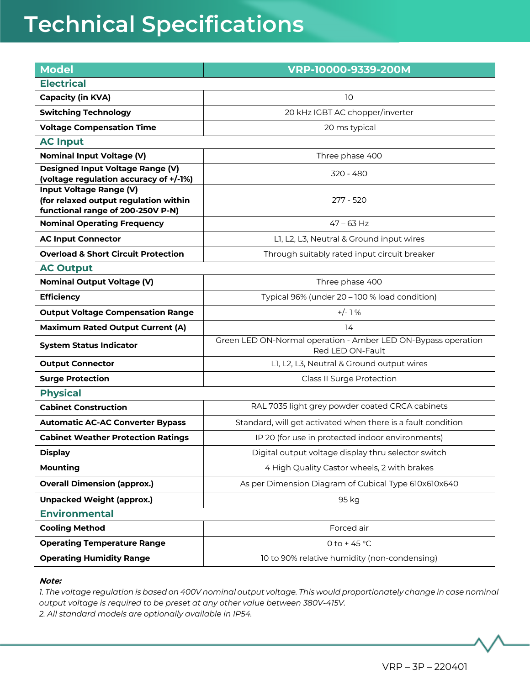| <b>Model</b>                                                                                          | VRP-10000-9339-200M                                                               |
|-------------------------------------------------------------------------------------------------------|-----------------------------------------------------------------------------------|
| <b>Electrical</b>                                                                                     |                                                                                   |
| <b>Capacity (in KVA)</b>                                                                              | 10                                                                                |
| <b>Switching Technology</b>                                                                           | 20 kHz IGBT AC chopper/inverter                                                   |
| <b>Voltage Compensation Time</b>                                                                      | 20 ms typical                                                                     |
| <b>AC Input</b>                                                                                       |                                                                                   |
| <b>Nominal Input Voltage (V)</b>                                                                      | Three phase 400                                                                   |
| Designed Input Voltage Range (V)<br>(voltage regulation accuracy of +/-1%)                            | 320 - 480                                                                         |
| Input Voltage Range (V)<br>(for relaxed output regulation within<br>functional range of 200-250V P-N) | 277 - 520                                                                         |
| <b>Nominal Operating Frequency</b>                                                                    | $47 - 63$ Hz                                                                      |
| <b>AC Input Connector</b>                                                                             | L1, L2, L3, Neutral & Ground input wires                                          |
| <b>Overload &amp; Short Circuit Protection</b>                                                        | Through suitably rated input circuit breaker                                      |
| <b>AC Output</b>                                                                                      |                                                                                   |
| <b>Nominal Output Voltage (V)</b>                                                                     | Three phase 400                                                                   |
| <b>Efficiency</b>                                                                                     | Typical 96% (under 20 - 100 % load condition)                                     |
| <b>Output Voltage Compensation Range</b>                                                              | $+/-1%$                                                                           |
| <b>Maximum Rated Output Current (A)</b>                                                               | 14                                                                                |
| <b>System Status Indicator</b>                                                                        | Green LED ON-Normal operation - Amber LED ON-Bypass operation<br>Red LED ON-Fault |
| <b>Output Connector</b>                                                                               | L1, L2, L3, Neutral & Ground output wires                                         |
| <b>Surge Protection</b>                                                                               | Class II Surge Protection                                                         |
| <b>Physical</b>                                                                                       |                                                                                   |
| <b>Cabinet Construction</b>                                                                           | RAL 7035 light grey powder coated CRCA cabinets                                   |
| <b>Automatic AC-AC Converter Bypass</b>                                                               | Standard, will get activated when there is a fault condition                      |
| <b>Cabinet Weather Protection Ratings</b>                                                             | IP 20 (for use in protected indoor environments)                                  |
| <b>Display</b>                                                                                        | Digital output voltage display thru selector switch                               |
| <b>Mounting</b>                                                                                       | 4 High Quality Castor wheels, 2 with brakes                                       |
| <b>Overall Dimension (approx.)</b>                                                                    | As per Dimension Diagram of Cubical Type 610x610x640                              |
| <b>Unpacked Weight (approx.)</b>                                                                      | 95 kg                                                                             |
| <b>Environmental</b>                                                                                  |                                                                                   |
| <b>Cooling Method</b>                                                                                 | Forced air                                                                        |
| <b>Operating Temperature Range</b>                                                                    | 0 to +45 $\degree$ C                                                              |
| <b>Operating Humidity Range</b>                                                                       | 10 to 90% relative humidity (non-condensing)                                      |

#### **Note:**

*1. The voltage regulation is based on 400V nominal output voltage. This would proportionately change in case nominal output voltage is required to be preset at any other value between 380V-415V. 2. All standard models are optionally available in IP54.*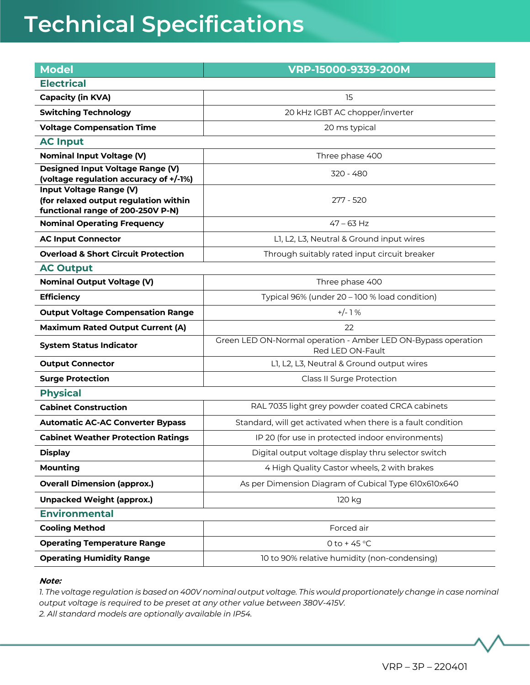| <b>Model</b>                                                                                                 | VRP-15000-9339-200M                                                               |
|--------------------------------------------------------------------------------------------------------------|-----------------------------------------------------------------------------------|
| <b>Electrical</b>                                                                                            |                                                                                   |
| <b>Capacity (in KVA)</b>                                                                                     | 15                                                                                |
| <b>Switching Technology</b>                                                                                  | 20 kHz IGBT AC chopper/inverter                                                   |
| <b>Voltage Compensation Time</b>                                                                             | 20 ms typical                                                                     |
| <b>AC Input</b>                                                                                              |                                                                                   |
| <b>Nominal Input Voltage (V)</b>                                                                             | Three phase 400                                                                   |
| Designed Input Voltage Range (V)<br>(voltage regulation accuracy of +/-1%)                                   | 320 - 480                                                                         |
| <b>Input Voltage Range (V)</b><br>(for relaxed output regulation within<br>functional range of 200-250V P-N) | 277 - 520                                                                         |
| <b>Nominal Operating Frequency</b>                                                                           | $47 - 63$ Hz                                                                      |
| <b>AC Input Connector</b>                                                                                    | L1, L2, L3, Neutral & Ground input wires                                          |
| <b>Overload &amp; Short Circuit Protection</b>                                                               | Through suitably rated input circuit breaker                                      |
| <b>AC Output</b>                                                                                             |                                                                                   |
| <b>Nominal Output Voltage (V)</b>                                                                            | Three phase 400                                                                   |
| <b>Efficiency</b>                                                                                            | Typical 96% (under 20 - 100 % load condition)                                     |
| <b>Output Voltage Compensation Range</b>                                                                     | $+/-1%$                                                                           |
| <b>Maximum Rated Output Current (A)</b>                                                                      | 22                                                                                |
| <b>System Status Indicator</b>                                                                               | Green LED ON-Normal operation - Amber LED ON-Bypass operation<br>Red LED ON-Fault |
| <b>Output Connector</b>                                                                                      | L1, L2, L3, Neutral & Ground output wires                                         |
| <b>Surge Protection</b>                                                                                      | Class II Surge Protection                                                         |
| <b>Physical</b>                                                                                              |                                                                                   |
| <b>Cabinet Construction</b>                                                                                  | RAL 7035 light grey powder coated CRCA cabinets                                   |
| <b>Automatic AC-AC Converter Bypass</b>                                                                      | Standard, will get activated when there is a fault condition                      |
| <b>Cabinet Weather Protection Ratings</b>                                                                    | IP 20 (for use in protected indoor environments)                                  |
| <b>Display</b>                                                                                               | Digital output voltage display thru selector switch                               |
| <b>Mounting</b>                                                                                              | 4 High Quality Castor wheels, 2 with brakes                                       |
| <b>Overall Dimension (approx.)</b>                                                                           | As per Dimension Diagram of Cubical Type 610x610x640                              |
| <b>Unpacked Weight (approx.)</b>                                                                             | 120 kg                                                                            |
| <b>Environmental</b>                                                                                         |                                                                                   |
| <b>Cooling Method</b>                                                                                        | Forced air                                                                        |
| <b>Operating Temperature Range</b>                                                                           | 0 to +45 $^{\circ}$ C                                                             |
| <b>Operating Humidity Range</b>                                                                              | 10 to 90% relative humidity (non-condensing)                                      |

#### **Note:**

*1. The voltage regulation is based on 400V nominal output voltage. This would proportionately change in case nominal output voltage is required to be preset at any other value between 380V-415V. 2. All standard models are optionally available in IP54.*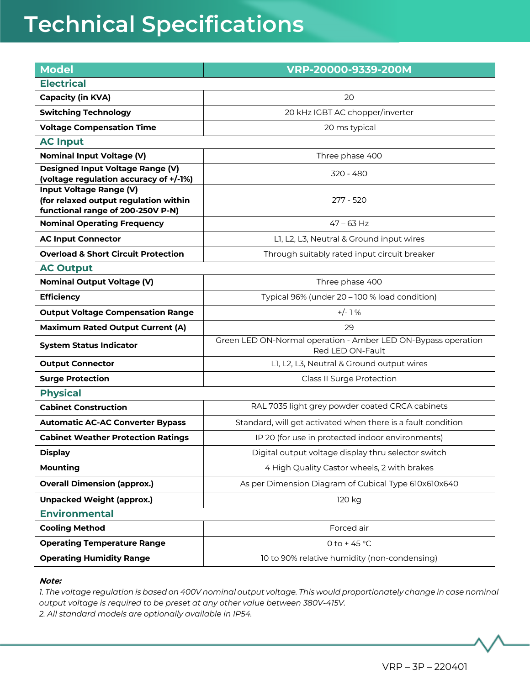| <b>Model</b>                                                               | VRP-20000-9339-200M                                                               |
|----------------------------------------------------------------------------|-----------------------------------------------------------------------------------|
| <b>Electrical</b>                                                          |                                                                                   |
| <b>Capacity (in KVA)</b>                                                   | 20                                                                                |
| <b>Switching Technology</b>                                                | 20 kHz IGBT AC chopper/inverter                                                   |
| <b>Voltage Compensation Time</b>                                           | 20 ms typical                                                                     |
| <b>AC Input</b>                                                            |                                                                                   |
| <b>Nominal Input Voltage (V)</b>                                           | Three phase 400                                                                   |
| Designed Input Voltage Range (V)<br>(voltage regulation accuracy of +/-1%) | 320 - 480                                                                         |
| <b>Input Voltage Range (V)</b>                                             |                                                                                   |
| (for relaxed output regulation within                                      | 277 - 520                                                                         |
| functional range of 200-250V P-N)<br><b>Nominal Operating Frequency</b>    | $47 - 63$ Hz                                                                      |
| <b>AC Input Connector</b>                                                  | L1, L2, L3, Neutral & Ground input wires                                          |
| <b>Overload &amp; Short Circuit Protection</b>                             | Through suitably rated input circuit breaker                                      |
| <b>AC Output</b>                                                           |                                                                                   |
| <b>Nominal Output Voltage (V)</b>                                          | Three phase 400                                                                   |
| <b>Efficiency</b>                                                          | Typical 96% (under 20 - 100 % load condition)                                     |
| <b>Output Voltage Compensation Range</b>                                   | $+/-1%$                                                                           |
| <b>Maximum Rated Output Current (A)</b>                                    | 29                                                                                |
| <b>System Status Indicator</b>                                             | Green LED ON-Normal operation - Amber LED ON-Bypass operation<br>Red LED ON-Fault |
| <b>Output Connector</b>                                                    | L1, L2, L3, Neutral & Ground output wires                                         |
| <b>Surge Protection</b>                                                    | Class II Surge Protection                                                         |
| <b>Physical</b>                                                            |                                                                                   |
| <b>Cabinet Construction</b>                                                | RAL 7035 light grey powder coated CRCA cabinets                                   |
| <b>Automatic AC-AC Converter Bypass</b>                                    | Standard, will get activated when there is a fault condition                      |
| <b>Cabinet Weather Protection Ratings</b>                                  | IP 20 (for use in protected indoor environments)                                  |
| <b>Display</b>                                                             | Digital output voltage display thru selector switch                               |
| <b>Mounting</b>                                                            | 4 High Quality Castor wheels, 2 with brakes                                       |
| <b>Overall Dimension (approx.)</b>                                         | As per Dimension Diagram of Cubical Type 610x610x640                              |
| <b>Unpacked Weight (approx.)</b>                                           | 120 kg                                                                            |
| <b>Environmental</b>                                                       |                                                                                   |
| <b>Cooling Method</b>                                                      | Forced air                                                                        |
| <b>Operating Temperature Range</b>                                         | 0 to +45 $°C$                                                                     |
| <b>Operating Humidity Range</b>                                            | 10 to 90% relative humidity (non-condensing)                                      |
|                                                                            |                                                                                   |

#### **Note:**

*1. The voltage regulation is based on 400V nominal output voltage. This would proportionately change in case nominal output voltage is required to be preset at any other value between 380V-415V. 2. All standard models are optionally available in IP54.*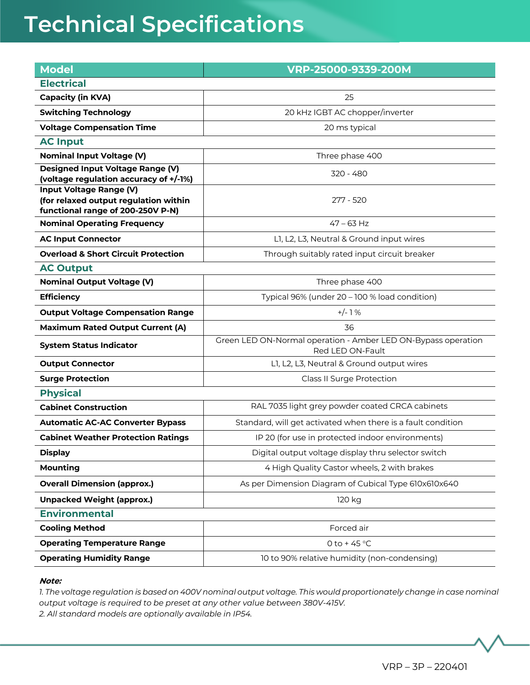| <b>Model</b>                                                                                          | VRP-25000-9339-200M                                                               |  |
|-------------------------------------------------------------------------------------------------------|-----------------------------------------------------------------------------------|--|
| <b>Electrical</b>                                                                                     |                                                                                   |  |
| <b>Capacity (in KVA)</b>                                                                              | 25                                                                                |  |
| <b>Switching Technology</b>                                                                           | 20 kHz IGBT AC chopper/inverter                                                   |  |
| <b>Voltage Compensation Time</b>                                                                      | 20 ms typical                                                                     |  |
| <b>AC Input</b>                                                                                       |                                                                                   |  |
| <b>Nominal Input Voltage (V)</b>                                                                      | Three phase 400                                                                   |  |
| Designed Input Voltage Range (V)<br>(voltage regulation accuracy of +/-1%)                            | 320 - 480                                                                         |  |
| Input Voltage Range (V)<br>(for relaxed output regulation within<br>functional range of 200-250V P-N) | 277 - 520                                                                         |  |
| <b>Nominal Operating Frequency</b>                                                                    | $47 - 63$ Hz                                                                      |  |
| <b>AC Input Connector</b>                                                                             | L1, L2, L3, Neutral & Ground input wires                                          |  |
| <b>Overload &amp; Short Circuit Protection</b>                                                        | Through suitably rated input circuit breaker                                      |  |
| <b>AC Output</b>                                                                                      |                                                                                   |  |
| <b>Nominal Output Voltage (V)</b>                                                                     | Three phase 400                                                                   |  |
| <b>Efficiency</b>                                                                                     | Typical 96% (under 20 - 100 % load condition)                                     |  |
| <b>Output Voltage Compensation Range</b>                                                              | $+/-1%$                                                                           |  |
| <b>Maximum Rated Output Current (A)</b>                                                               | 36                                                                                |  |
| <b>System Status Indicator</b>                                                                        | Green LED ON-Normal operation - Amber LED ON-Bypass operation<br>Red LED ON-Fault |  |
| <b>Output Connector</b>                                                                               | L1, L2, L3, Neutral & Ground output wires                                         |  |
| <b>Surge Protection</b>                                                                               | <b>Class II Surge Protection</b>                                                  |  |
| <b>Physical</b>                                                                                       |                                                                                   |  |
| <b>Cabinet Construction</b>                                                                           | RAL 7035 light grey powder coated CRCA cabinets                                   |  |
| <b>Automatic AC-AC Converter Bypass</b>                                                               | Standard, will get activated when there is a fault condition                      |  |
| <b>Cabinet Weather Protection Ratings</b>                                                             | IP 20 (for use in protected indoor environments)                                  |  |
| <b>Display</b>                                                                                        | Digital output voltage display thru selector switch                               |  |
| <b>Mounting</b>                                                                                       | 4 High Quality Castor wheels, 2 with brakes                                       |  |
| <b>Overall Dimension (approx.)</b>                                                                    | As per Dimension Diagram of Cubical Type 610x610x640                              |  |
| <b>Unpacked Weight (approx.)</b>                                                                      | 120 kg                                                                            |  |
| <b>Environmental</b>                                                                                  |                                                                                   |  |
| <b>Cooling Method</b>                                                                                 | Forced air                                                                        |  |
| <b>Operating Temperature Range</b>                                                                    | 0 to +45 $\degree$ C                                                              |  |
| <b>Operating Humidity Range</b>                                                                       | 10 to 90% relative humidity (non-condensing)                                      |  |

#### **Note:**

*1. The voltage regulation is based on 400V nominal output voltage. This would proportionately change in case nominal output voltage is required to be preset at any other value between 380V-415V. 2. All standard models are optionally available in IP54.*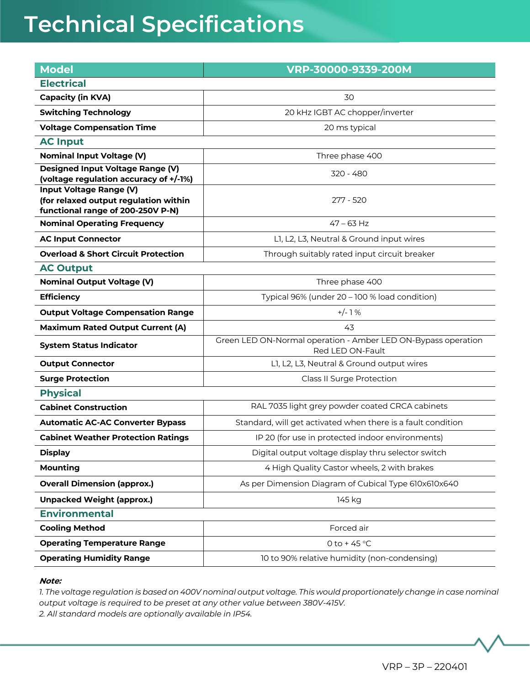| <b>Model</b>                                                                                                 | VRP-30000-9339-200M                                                               |
|--------------------------------------------------------------------------------------------------------------|-----------------------------------------------------------------------------------|
| <b>Electrical</b>                                                                                            |                                                                                   |
| <b>Capacity (in KVA)</b>                                                                                     | 30                                                                                |
| <b>Switching Technology</b>                                                                                  | 20 kHz IGBT AC chopper/inverter                                                   |
| <b>Voltage Compensation Time</b>                                                                             | 20 ms typical                                                                     |
| <b>AC Input</b>                                                                                              |                                                                                   |
| <b>Nominal Input Voltage (V)</b>                                                                             | Three phase 400                                                                   |
| Designed Input Voltage Range (V)<br>(voltage regulation accuracy of +/-1%)                                   | 320 - 480                                                                         |
| <b>Input Voltage Range (V)</b><br>(for relaxed output regulation within<br>functional range of 200-250V P-N) | 277 - 520                                                                         |
| <b>Nominal Operating Frequency</b>                                                                           | $47 - 63$ Hz                                                                      |
| <b>AC Input Connector</b>                                                                                    | L1, L2, L3, Neutral & Ground input wires                                          |
| <b>Overload &amp; Short Circuit Protection</b>                                                               | Through suitably rated input circuit breaker                                      |
| <b>AC Output</b>                                                                                             |                                                                                   |
| <b>Nominal Output Voltage (V)</b>                                                                            | Three phase 400                                                                   |
| <b>Efficiency</b>                                                                                            | Typical 96% (under 20 - 100 % load condition)                                     |
| <b>Output Voltage Compensation Range</b>                                                                     | $+/- 1%$                                                                          |
| <b>Maximum Rated Output Current (A)</b>                                                                      | 43                                                                                |
| <b>System Status Indicator</b>                                                                               | Green LED ON-Normal operation - Amber LED ON-Bypass operation<br>Red LED ON-Fault |
| <b>Output Connector</b>                                                                                      | L1, L2, L3, Neutral & Ground output wires                                         |
| <b>Surge Protection</b>                                                                                      | Class II Surge Protection                                                         |
| <b>Physical</b>                                                                                              |                                                                                   |
| <b>Cabinet Construction</b>                                                                                  | RAL 7035 light grey powder coated CRCA cabinets                                   |
| <b>Automatic AC-AC Converter Bypass</b>                                                                      | Standard, will get activated when there is a fault condition                      |
| <b>Cabinet Weather Protection Ratings</b>                                                                    | IP 20 (for use in protected indoor environments)                                  |
| <b>Display</b>                                                                                               | Digital output voltage display thru selector switch                               |
| <b>Mounting</b>                                                                                              | 4 High Quality Castor wheels, 2 with brakes                                       |
| <b>Overall Dimension (approx.)</b>                                                                           | As per Dimension Diagram of Cubical Type 610x610x640                              |
| <b>Unpacked Weight (approx.)</b>                                                                             | 145 kg                                                                            |
| <b>Environmental</b>                                                                                         |                                                                                   |
| <b>Cooling Method</b>                                                                                        | Forced air                                                                        |
| <b>Operating Temperature Range</b>                                                                           | 0 to +45 °C                                                                       |
| <b>Operating Humidity Range</b>                                                                              | 10 to 90% relative humidity (non-condensing)                                      |
|                                                                                                              |                                                                                   |

#### **Note:**

*1. The voltage regulation is based on 400V nominal output voltage. This would proportionately change in case nominal output voltage is required to be preset at any other value between 380V-415V. 2. All standard models are optionally available in IP54.*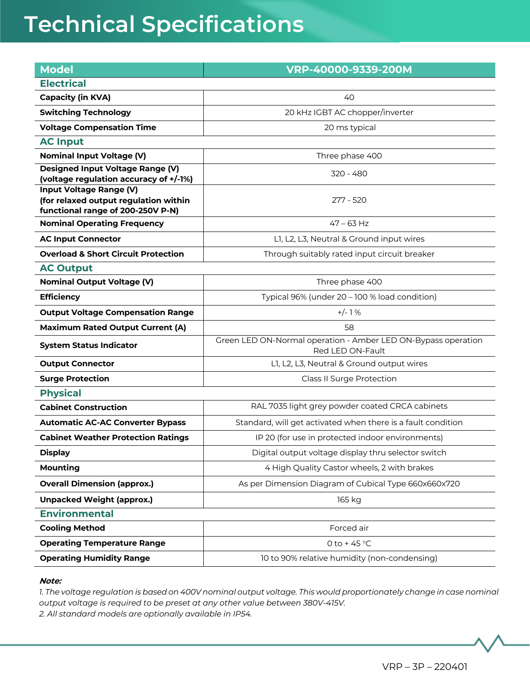| <b>Model</b>                                                                                                 | VRP-40000-9339-200M                                                               |  |
|--------------------------------------------------------------------------------------------------------------|-----------------------------------------------------------------------------------|--|
| <b>Electrical</b>                                                                                            |                                                                                   |  |
| <b>Capacity (in KVA)</b>                                                                                     | 40                                                                                |  |
| <b>Switching Technology</b>                                                                                  | 20 kHz IGBT AC chopper/inverter                                                   |  |
| <b>Voltage Compensation Time</b>                                                                             | 20 ms typical                                                                     |  |
| <b>AC Input</b>                                                                                              |                                                                                   |  |
| <b>Nominal Input Voltage (V)</b>                                                                             | Three phase 400                                                                   |  |
| Designed Input Voltage Range (V)<br>(voltage regulation accuracy of +/-1%)                                   | 320 - 480                                                                         |  |
| <b>Input Voltage Range (V)</b><br>(for relaxed output regulation within<br>functional range of 200-250V P-N) | 277 - 520                                                                         |  |
| <b>Nominal Operating Frequency</b>                                                                           | $47 - 63$ Hz                                                                      |  |
| <b>AC Input Connector</b>                                                                                    | L1, L2, L3, Neutral & Ground input wires                                          |  |
| <b>Overload &amp; Short Circuit Protection</b>                                                               | Through suitably rated input circuit breaker                                      |  |
| <b>AC Output</b>                                                                                             |                                                                                   |  |
| <b>Nominal Output Voltage (V)</b>                                                                            | Three phase 400                                                                   |  |
| <b>Efficiency</b>                                                                                            | Typical 96% (under 20 - 100 % load condition)                                     |  |
| <b>Output Voltage Compensation Range</b>                                                                     | $+/-1%$                                                                           |  |
| <b>Maximum Rated Output Current (A)</b>                                                                      | 58                                                                                |  |
| <b>System Status Indicator</b>                                                                               | Green LED ON-Normal operation - Amber LED ON-Bypass operation<br>Red LED ON-Fault |  |
| <b>Output Connector</b>                                                                                      | L1, L2, L3, Neutral & Ground output wires                                         |  |
| <b>Surge Protection</b>                                                                                      | Class II Surge Protection                                                         |  |
| <b>Physical</b>                                                                                              |                                                                                   |  |
| <b>Cabinet Construction</b>                                                                                  | RAL 7035 light grey powder coated CRCA cabinets                                   |  |
| <b>Automatic AC-AC Converter Bypass</b>                                                                      | Standard, will get activated when there is a fault condition                      |  |
| <b>Cabinet Weather Protection Ratings</b>                                                                    | IP 20 (for use in protected indoor environments)                                  |  |
| <b>Display</b>                                                                                               | Digital output voltage display thru selector switch                               |  |
| <b>Mounting</b>                                                                                              | 4 High Quality Castor wheels, 2 with brakes                                       |  |
| <b>Overall Dimension (approx.)</b>                                                                           | As per Dimension Diagram of Cubical Type 660x660x720                              |  |
| <b>Unpacked Weight (approx.)</b>                                                                             | 165 kg                                                                            |  |
| <b>Environmental</b>                                                                                         |                                                                                   |  |
| <b>Cooling Method</b>                                                                                        | Forced air                                                                        |  |
| <b>Operating Temperature Range</b>                                                                           | 0 to +45 $^{\circ}$ C                                                             |  |
| <b>Operating Humidity Range</b>                                                                              | 10 to 90% relative humidity (non-condensing)                                      |  |

#### **Note:**

*1. The voltage regulation is based on 400V nominal output voltage. This would proportionately change in case nominal output voltage is required to be preset at any other value between 380V-415V. 2. All standard models are optionally available in IP54.*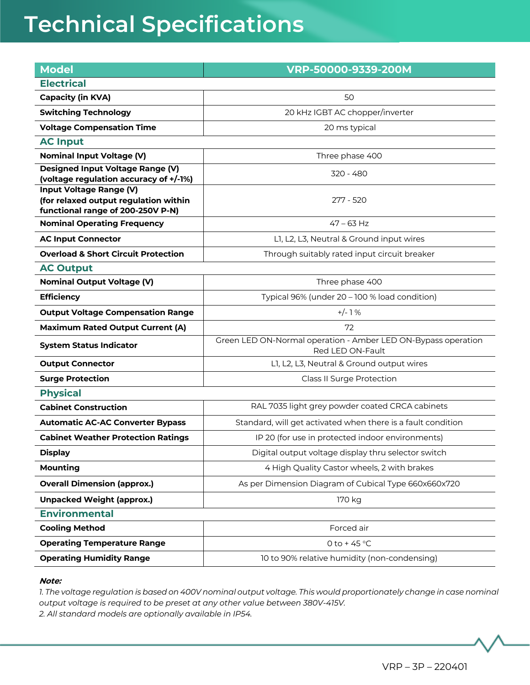| <b>Model</b>                                                                                                 | VRP-50000-9339-200M                                                               |
|--------------------------------------------------------------------------------------------------------------|-----------------------------------------------------------------------------------|
| <b>Electrical</b>                                                                                            |                                                                                   |
| <b>Capacity (in KVA)</b>                                                                                     | 50                                                                                |
| <b>Switching Technology</b>                                                                                  | 20 kHz IGBT AC chopper/inverter                                                   |
| <b>Voltage Compensation Time</b>                                                                             | 20 ms typical                                                                     |
| <b>AC Input</b>                                                                                              |                                                                                   |
| <b>Nominal Input Voltage (V)</b>                                                                             | Three phase 400                                                                   |
| Designed Input Voltage Range (V)<br>(voltage regulation accuracy of +/-1%)                                   | 320 - 480                                                                         |
| <b>Input Voltage Range (V)</b><br>(for relaxed output regulation within<br>functional range of 200-250V P-N) | 277 - 520                                                                         |
| <b>Nominal Operating Frequency</b>                                                                           | $47 - 63$ Hz                                                                      |
| <b>AC Input Connector</b>                                                                                    | L1, L2, L3, Neutral & Ground input wires                                          |
| <b>Overload &amp; Short Circuit Protection</b>                                                               | Through suitably rated input circuit breaker                                      |
| <b>AC Output</b>                                                                                             |                                                                                   |
| <b>Nominal Output Voltage (V)</b>                                                                            | Three phase 400                                                                   |
| <b>Efficiency</b>                                                                                            | Typical 96% (under 20 - 100 % load condition)                                     |
| <b>Output Voltage Compensation Range</b>                                                                     | $+/-1%$                                                                           |
| <b>Maximum Rated Output Current (A)</b>                                                                      | 72                                                                                |
| <b>System Status Indicator</b>                                                                               | Green LED ON-Normal operation - Amber LED ON-Bypass operation<br>Red LED ON-Fault |
| <b>Output Connector</b>                                                                                      | L1, L2, L3, Neutral & Ground output wires                                         |
| <b>Surge Protection</b>                                                                                      | Class II Surge Protection                                                         |
| <b>Physical</b>                                                                                              |                                                                                   |
| <b>Cabinet Construction</b>                                                                                  | RAL 7035 light grey powder coated CRCA cabinets                                   |
| <b>Automatic AC-AC Converter Bypass</b>                                                                      | Standard, will get activated when there is a fault condition                      |
| <b>Cabinet Weather Protection Ratings</b>                                                                    | IP 20 (for use in protected indoor environments)                                  |
| <b>Display</b>                                                                                               | Digital output voltage display thru selector switch                               |
| <b>Mounting</b>                                                                                              | 4 High Quality Castor wheels, 2 with brakes                                       |
| <b>Overall Dimension (approx.)</b>                                                                           | As per Dimension Diagram of Cubical Type 660x660x720                              |
| <b>Unpacked Weight (approx.)</b>                                                                             | 170 kg                                                                            |
| <b>Environmental</b>                                                                                         |                                                                                   |
| <b>Cooling Method</b>                                                                                        | Forced air                                                                        |
| <b>Operating Temperature Range</b>                                                                           | 0 to +45 $^{\circ}$ C                                                             |
| <b>Operating Humidity Range</b>                                                                              | 10 to 90% relative humidity (non-condensing)                                      |

#### **Note:**

*1. The voltage regulation is based on 400V nominal output voltage. This would proportionately change in case nominal output voltage is required to be preset at any other value between 380V-415V. 2. All standard models are optionally available in IP54.*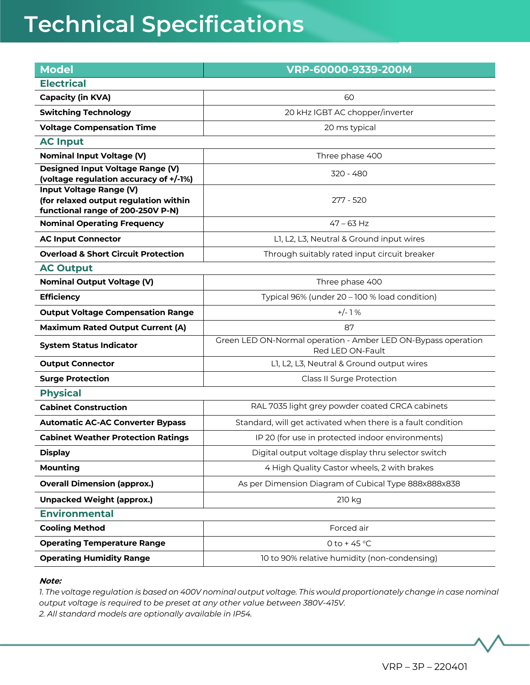| <b>Model</b>                                                                                                 | VRP-60000-9339-200M                                                               |
|--------------------------------------------------------------------------------------------------------------|-----------------------------------------------------------------------------------|
| <b>Electrical</b>                                                                                            |                                                                                   |
| <b>Capacity (in KVA)</b>                                                                                     | 60                                                                                |
| <b>Switching Technology</b>                                                                                  | 20 kHz IGBT AC chopper/inverter                                                   |
| <b>Voltage Compensation Time</b>                                                                             | 20 ms typical                                                                     |
| <b>AC Input</b>                                                                                              |                                                                                   |
| <b>Nominal Input Voltage (V)</b>                                                                             | Three phase 400                                                                   |
| Designed Input Voltage Range (V)<br>(voltage regulation accuracy of +/-1%)                                   | 320 - 480                                                                         |
| <b>Input Voltage Range (V)</b><br>(for relaxed output regulation within<br>functional range of 200-250V P-N) | 277 - 520                                                                         |
| <b>Nominal Operating Frequency</b>                                                                           | $47 - 63$ Hz                                                                      |
| <b>AC Input Connector</b>                                                                                    | L1, L2, L3, Neutral & Ground input wires                                          |
| <b>Overload &amp; Short Circuit Protection</b>                                                               | Through suitably rated input circuit breaker                                      |
| <b>AC Output</b>                                                                                             |                                                                                   |
| <b>Nominal Output Voltage (V)</b>                                                                            | Three phase 400                                                                   |
| <b>Efficiency</b>                                                                                            | Typical 96% (under 20 - 100 % load condition)                                     |
| <b>Output Voltage Compensation Range</b>                                                                     | $+/-1%$                                                                           |
| <b>Maximum Rated Output Current (A)</b>                                                                      | 87                                                                                |
| <b>System Status Indicator</b>                                                                               | Green LED ON-Normal operation - Amber LED ON-Bypass operation<br>Red LED ON-Fault |
| <b>Output Connector</b>                                                                                      | L1, L2, L3, Neutral & Ground output wires                                         |
| <b>Surge Protection</b>                                                                                      | Class II Surge Protection                                                         |
| <b>Physical</b>                                                                                              |                                                                                   |
| <b>Cabinet Construction</b>                                                                                  | RAL 7035 light grey powder coated CRCA cabinets                                   |
| <b>Automatic AC-AC Converter Bypass</b>                                                                      | Standard, will get activated when there is a fault condition                      |
| <b>Cabinet Weather Protection Ratings</b>                                                                    | IP 20 (for use in protected indoor environments)                                  |
| <b>Display</b>                                                                                               | Digital output voltage display thru selector switch                               |
| <b>Mounting</b>                                                                                              | 4 High Quality Castor wheels, 2 with brakes                                       |
| <b>Overall Dimension (approx.)</b>                                                                           | As per Dimension Diagram of Cubical Type 888x888x838                              |
| <b>Unpacked Weight (approx.)</b>                                                                             | 210 kg                                                                            |
| <b>Environmental</b>                                                                                         |                                                                                   |
| <b>Cooling Method</b>                                                                                        | Forced air                                                                        |
| <b>Operating Temperature Range</b>                                                                           | 0 to +45 $^{\circ}$ C                                                             |
| <b>Operating Humidity Range</b>                                                                              | 10 to 90% relative humidity (non-condensing)                                      |
|                                                                                                              |                                                                                   |

#### **Note:**

*1. The voltage regulation is based on 400V nominal output voltage. This would proportionately change in case nominal output voltage is required to be preset at any other value between 380V-415V. 2. All standard models are optionally available in IP54.*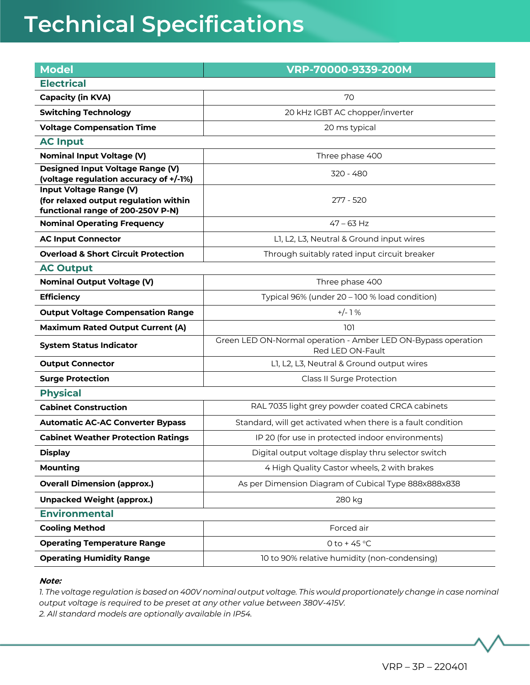| <b>Model</b>                                                                                                 | VRP-70000-9339-200M                                                               |
|--------------------------------------------------------------------------------------------------------------|-----------------------------------------------------------------------------------|
| <b>Electrical</b>                                                                                            |                                                                                   |
| <b>Capacity (in KVA)</b>                                                                                     | 70                                                                                |
| <b>Switching Technology</b>                                                                                  | 20 kHz IGBT AC chopper/inverter                                                   |
| <b>Voltage Compensation Time</b>                                                                             | 20 ms typical                                                                     |
| <b>AC Input</b>                                                                                              |                                                                                   |
| <b>Nominal Input Voltage (V)</b>                                                                             | Three phase 400                                                                   |
| Designed Input Voltage Range (V)<br>(voltage regulation accuracy of +/-1%)                                   | 320 - 480                                                                         |
| <b>Input Voltage Range (V)</b><br>(for relaxed output regulation within<br>functional range of 200-250V P-N) | 277 - 520                                                                         |
| <b>Nominal Operating Frequency</b>                                                                           | $47 - 63$ Hz                                                                      |
| <b>AC Input Connector</b>                                                                                    | L1, L2, L3, Neutral & Ground input wires                                          |
| <b>Overload &amp; Short Circuit Protection</b>                                                               | Through suitably rated input circuit breaker                                      |
| <b>AC Output</b>                                                                                             |                                                                                   |
| <b>Nominal Output Voltage (V)</b>                                                                            | Three phase 400                                                                   |
| <b>Efficiency</b>                                                                                            | Typical 96% (under 20 - 100 % load condition)                                     |
| <b>Output Voltage Compensation Range</b>                                                                     | $+/-1%$                                                                           |
| <b>Maximum Rated Output Current (A)</b>                                                                      | 101                                                                               |
| <b>System Status Indicator</b>                                                                               | Green LED ON-Normal operation - Amber LED ON-Bypass operation<br>Red LED ON-Fault |
| <b>Output Connector</b>                                                                                      | L1, L2, L3, Neutral & Ground output wires                                         |
| <b>Surge Protection</b>                                                                                      | Class II Surge Protection                                                         |
| <b>Physical</b>                                                                                              |                                                                                   |
| <b>Cabinet Construction</b>                                                                                  | RAL 7035 light grey powder coated CRCA cabinets                                   |
| <b>Automatic AC-AC Converter Bypass</b>                                                                      | Standard, will get activated when there is a fault condition                      |
| <b>Cabinet Weather Protection Ratings</b>                                                                    | IP 20 (for use in protected indoor environments)                                  |
| <b>Display</b>                                                                                               | Digital output voltage display thru selector switch                               |
| <b>Mounting</b>                                                                                              | 4 High Quality Castor wheels, 2 with brakes                                       |
| <b>Overall Dimension (approx.)</b>                                                                           | As per Dimension Diagram of Cubical Type 888x888x838                              |
| <b>Unpacked Weight (approx.)</b>                                                                             | 280 kg                                                                            |
| <b>Environmental</b>                                                                                         |                                                                                   |
| <b>Cooling Method</b>                                                                                        | Forced air                                                                        |
| <b>Operating Temperature Range</b>                                                                           | 0 to +45 $^{\circ}$ C                                                             |
| <b>Operating Humidity Range</b>                                                                              | 10 to 90% relative humidity (non-condensing)                                      |
|                                                                                                              |                                                                                   |

#### **Note:**

*1. The voltage regulation is based on 400V nominal output voltage. This would proportionately change in case nominal output voltage is required to be preset at any other value between 380V-415V. 2. All standard models are optionally available in IP54.*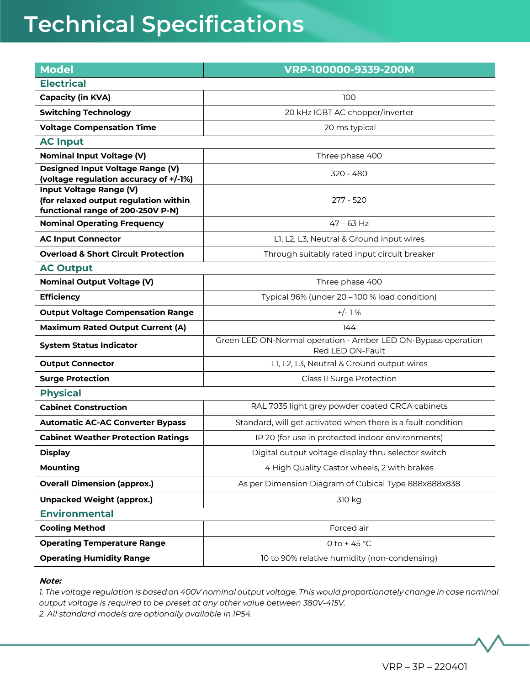| <b>Model</b>                                                               | VRP-100000-9339-200M                                                 |
|----------------------------------------------------------------------------|----------------------------------------------------------------------|
| <b>Electrical</b>                                                          |                                                                      |
| <b>Capacity (in KVA)</b>                                                   | 100                                                                  |
| <b>Switching Technology</b>                                                | 20 kHz IGBT AC chopper/inverter                                      |
| <b>Voltage Compensation Time</b>                                           | 20 ms typical                                                        |
| <b>AC Input</b>                                                            |                                                                      |
| <b>Nominal Input Voltage (V)</b>                                           | Three phase 400                                                      |
| Designed Input Voltage Range (V)<br>(voltage regulation accuracy of +/-1%) | 320 - 480                                                            |
| Input Voltage Range (V)                                                    |                                                                      |
| (for relaxed output regulation within                                      | 277 - 520                                                            |
| functional range of 200-250V P-N)<br><b>Nominal Operating Frequency</b>    | $47 - 63$ Hz                                                         |
|                                                                            |                                                                      |
| <b>AC Input Connector</b>                                                  | L1, L2, L3, Neutral & Ground input wires                             |
| <b>Overload &amp; Short Circuit Protection</b>                             | Through suitably rated input circuit breaker                         |
| <b>AC Output</b><br><b>Nominal Output Voltage (V)</b>                      | Three phase 400                                                      |
| <b>Efficiency</b>                                                          | Typical 96% (under 20 - 100 % load condition)                        |
|                                                                            | $+/-1%$                                                              |
| <b>Output Voltage Compensation Range</b>                                   |                                                                      |
| <b>Maximum Rated Output Current (A)</b>                                    | 144<br>Green LED ON-Normal operation - Amber LED ON-Bypass operation |
| <b>System Status Indicator</b>                                             | Red LED ON-Fault                                                     |
| <b>Output Connector</b>                                                    | L1, L2, L3, Neutral & Ground output wires                            |
| <b>Surge Protection</b>                                                    | Class II Surge Protection                                            |
| <b>Physical</b>                                                            |                                                                      |
| <b>Cabinet Construction</b>                                                | RAL 7035 light grey powder coated CRCA cabinets                      |
| <b>Automatic AC-AC Converter Bypass</b>                                    | Standard, will get activated when there is a fault condition         |
| <b>Cabinet Weather Protection Ratings</b>                                  | IP 20 (for use in protected indoor environments)                     |
| <b>Display</b>                                                             | Digital output voltage display thru selector switch                  |
| <b>Mounting</b>                                                            | 4 High Quality Castor wheels, 2 with brakes                          |
| <b>Overall Dimension (approx.)</b>                                         | As per Dimension Diagram of Cubical Type 888x888x838                 |
| <b>Unpacked Weight (approx.)</b>                                           | 310 kg                                                               |
| <b>Environmental</b>                                                       |                                                                      |
| <b>Cooling Method</b>                                                      | Forced air                                                           |
| <b>Operating Temperature Range</b>                                         | 0 to +45 $^{\circ}$ C                                                |
| <b>Operating Humidity Range</b>                                            | 10 to 90% relative humidity (non-condensing)                         |
|                                                                            |                                                                      |

#### **Note:**

*1. The voltage regulation is based on 400V nominal output voltage. This would proportionately change in case nominal output voltage is required to be preset at any other value between 380V-415V. 2. All standard models are optionally available in IP54.*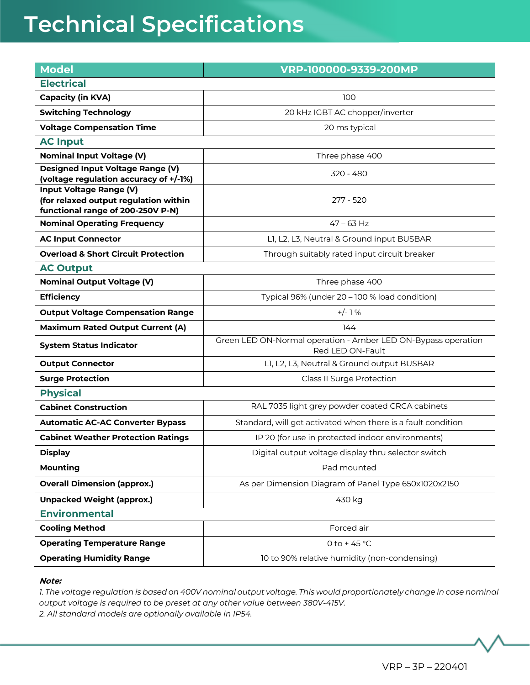| <b>Model</b>                                                                      | VRP-100000-9339-200MP                                                             |  |
|-----------------------------------------------------------------------------------|-----------------------------------------------------------------------------------|--|
| <b>Electrical</b>                                                                 |                                                                                   |  |
| <b>Capacity (in KVA)</b>                                                          | 100                                                                               |  |
| <b>Switching Technology</b>                                                       | 20 kHz IGBT AC chopper/inverter                                                   |  |
| <b>Voltage Compensation Time</b>                                                  | 20 ms typical                                                                     |  |
| <b>AC Input</b>                                                                   |                                                                                   |  |
| <b>Nominal Input Voltage (V)</b>                                                  | Three phase 400                                                                   |  |
| <b>Designed Input Voltage Range (V)</b><br>(voltage regulation accuracy of +/-1%) | 320 - 480                                                                         |  |
| Input Voltage Range (V)                                                           |                                                                                   |  |
| (for relaxed output regulation within                                             | 277 - 520                                                                         |  |
| functional range of 200-250V P-N)                                                 | $47 - 63$ Hz                                                                      |  |
| <b>Nominal Operating Frequency</b>                                                |                                                                                   |  |
| <b>AC Input Connector</b>                                                         | L1, L2, L3, Neutral & Ground input BUSBAR                                         |  |
| <b>Overload &amp; Short Circuit Protection</b>                                    | Through suitably rated input circuit breaker                                      |  |
| <b>AC Output</b>                                                                  |                                                                                   |  |
| <b>Nominal Output Voltage (V)</b>                                                 | Three phase 400                                                                   |  |
| <b>Efficiency</b>                                                                 | Typical 96% (under 20 - 100 % load condition)                                     |  |
| <b>Output Voltage Compensation Range</b>                                          | $+/-1%$                                                                           |  |
| <b>Maximum Rated Output Current (A)</b>                                           | 144                                                                               |  |
| <b>System Status Indicator</b>                                                    | Green LED ON-Normal operation - Amber LED ON-Bypass operation<br>Red LED ON-Fault |  |
| <b>Output Connector</b>                                                           | L1, L2, L3, Neutral & Ground output BUSBAR                                        |  |
| <b>Surge Protection</b>                                                           | Class II Surge Protection                                                         |  |
| <b>Physical</b>                                                                   |                                                                                   |  |
| <b>Cabinet Construction</b>                                                       | RAL 7035 light grey powder coated CRCA cabinets                                   |  |
| <b>Automatic AC-AC Converter Bypass</b>                                           | Standard, will get activated when there is a fault condition                      |  |
| <b>Cabinet Weather Protection Ratings</b>                                         | IP 20 (for use in protected indoor environments)                                  |  |
| <b>Display</b>                                                                    | Digital output voltage display thru selector switch                               |  |
| <b>Mounting</b>                                                                   | Pad mounted                                                                       |  |
| <b>Overall Dimension (approx.)</b>                                                | As per Dimension Diagram of Panel Type 650x1020x2150                              |  |
| <b>Unpacked Weight (approx.)</b>                                                  | 430 kg                                                                            |  |
| <b>Environmental</b>                                                              |                                                                                   |  |
| <b>Cooling Method</b>                                                             | Forced air                                                                        |  |
| <b>Operating Temperature Range</b>                                                | 0 to +45 $^{\circ}$ C                                                             |  |
| <b>Operating Humidity Range</b>                                                   | 10 to 90% relative humidity (non-condensing)                                      |  |
|                                                                                   |                                                                                   |  |

#### **Note:**

*1. The voltage regulation is based on 400V nominal output voltage. This would proportionately change in case nominal output voltage is required to be preset at any other value between 380V-415V. 2. All standard models are optionally available in IP54.*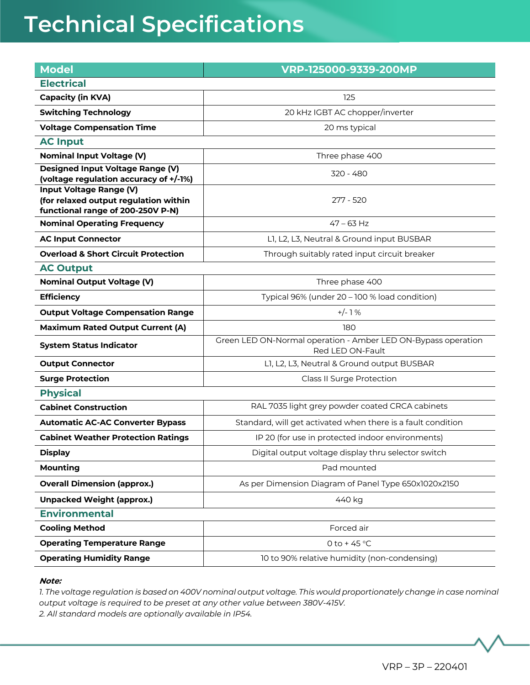| <b>Model</b>                                                                      | VRP-125000-9339-200MP                                         |  |
|-----------------------------------------------------------------------------------|---------------------------------------------------------------|--|
| <b>Electrical</b>                                                                 |                                                               |  |
| <b>Capacity (in KVA)</b>                                                          | 125                                                           |  |
| <b>Switching Technology</b>                                                       | 20 kHz IGBT AC chopper/inverter                               |  |
| <b>Voltage Compensation Time</b>                                                  | 20 ms typical                                                 |  |
| <b>AC Input</b>                                                                   |                                                               |  |
| <b>Nominal Input Voltage (V)</b>                                                  | Three phase 400                                               |  |
| <b>Designed Input Voltage Range (V)</b><br>(voltage regulation accuracy of +/-1%) | 320 - 480                                                     |  |
| Input Voltage Range (V)                                                           |                                                               |  |
| (for relaxed output regulation within                                             | 277 - 520                                                     |  |
| functional range of 200-250V P-N)<br><b>Nominal Operating Frequency</b>           | $47 - 63$ Hz                                                  |  |
| <b>AC Input Connector</b>                                                         | L1, L2, L3, Neutral & Ground input BUSBAR                     |  |
| <b>Overload &amp; Short Circuit Protection</b>                                    |                                                               |  |
| <b>AC Output</b>                                                                  | Through suitably rated input circuit breaker                  |  |
| <b>Nominal Output Voltage (V)</b>                                                 | Three phase 400                                               |  |
| <b>Efficiency</b>                                                                 | Typical 96% (under 20 - 100 % load condition)                 |  |
| <b>Output Voltage Compensation Range</b>                                          | $+/-1%$                                                       |  |
|                                                                                   | 180                                                           |  |
| <b>Maximum Rated Output Current (A)</b><br><b>System Status Indicator</b>         | Green LED ON-Normal operation - Amber LED ON-Bypass operation |  |
|                                                                                   | Red LED ON-Fault                                              |  |
| <b>Output Connector</b>                                                           | L1, L2, L3, Neutral & Ground output BUSBAR                    |  |
| <b>Surge Protection</b>                                                           | Class II Surge Protection                                     |  |
| <b>Physical</b>                                                                   |                                                               |  |
| <b>Cabinet Construction</b>                                                       | RAL 7035 light grey powder coated CRCA cabinets               |  |
| <b>Automatic AC-AC Converter Bypass</b>                                           | Standard, will get activated when there is a fault condition  |  |
| <b>Cabinet Weather Protection Ratings</b>                                         | IP 20 (for use in protected indoor environments)              |  |
| <b>Display</b>                                                                    | Digital output voltage display thru selector switch           |  |
| <b>Mounting</b>                                                                   | Pad mounted                                                   |  |
| <b>Overall Dimension (approx.)</b>                                                | As per Dimension Diagram of Panel Type 650x1020x2150          |  |
| <b>Unpacked Weight (approx.)</b>                                                  | 440 kg                                                        |  |
| <b>Environmental</b>                                                              |                                                               |  |
| <b>Cooling Method</b>                                                             | Forced air                                                    |  |
| <b>Operating Temperature Range</b>                                                | 0 to +45 $^{\circ}$ C                                         |  |
| <b>Operating Humidity Range</b>                                                   | 10 to 90% relative humidity (non-condensing)                  |  |
|                                                                                   |                                                               |  |

#### **Note:**

*1. The voltage regulation is based on 400V nominal output voltage. This would proportionately change in case nominal output voltage is required to be preset at any other value between 380V-415V. 2. All standard models are optionally available in IP54.*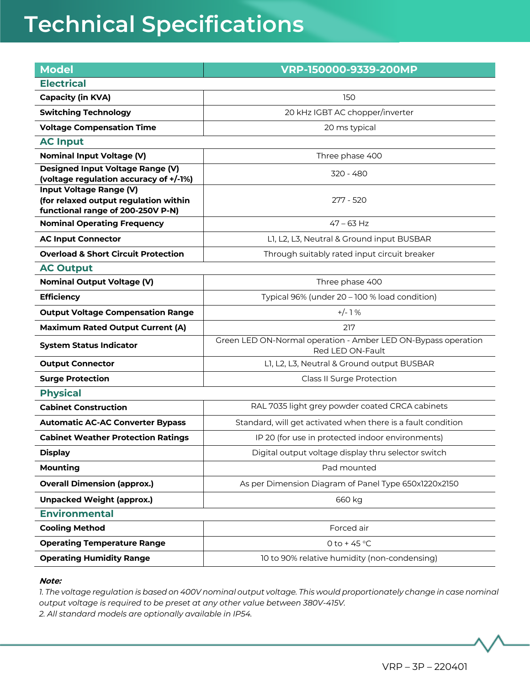| <b>Model</b>                                                                      | VRP-150000-9339-200MP                                         |  |
|-----------------------------------------------------------------------------------|---------------------------------------------------------------|--|
| <b>Electrical</b>                                                                 |                                                               |  |
| <b>Capacity (in KVA)</b>                                                          | 150                                                           |  |
| <b>Switching Technology</b>                                                       | 20 kHz IGBT AC chopper/inverter                               |  |
| <b>Voltage Compensation Time</b>                                                  | 20 ms typical                                                 |  |
| <b>AC Input</b>                                                                   |                                                               |  |
| <b>Nominal Input Voltage (V)</b>                                                  | Three phase 400                                               |  |
| <b>Designed Input Voltage Range (V)</b><br>(voltage regulation accuracy of +/-1%) | 320 - 480                                                     |  |
| Input Voltage Range (V)                                                           |                                                               |  |
| (for relaxed output regulation within                                             | 277 - 520                                                     |  |
| functional range of 200-250V P-N)<br><b>Nominal Operating Frequency</b>           | $47 - 63$ Hz                                                  |  |
| <b>AC Input Connector</b>                                                         | L1, L2, L3, Neutral & Ground input BUSBAR                     |  |
| <b>Overload &amp; Short Circuit Protection</b>                                    |                                                               |  |
| <b>AC Output</b>                                                                  | Through suitably rated input circuit breaker                  |  |
| <b>Nominal Output Voltage (V)</b>                                                 | Three phase 400                                               |  |
| <b>Efficiency</b>                                                                 | Typical 96% (under 20 - 100 % load condition)                 |  |
| <b>Output Voltage Compensation Range</b>                                          | $+/-1%$                                                       |  |
|                                                                                   | 217                                                           |  |
| <b>Maximum Rated Output Current (A)</b><br><b>System Status Indicator</b>         | Green LED ON-Normal operation - Amber LED ON-Bypass operation |  |
|                                                                                   | Red LED ON-Fault                                              |  |
| <b>Output Connector</b>                                                           | L1, L2, L3, Neutral & Ground output BUSBAR                    |  |
| <b>Surge Protection</b>                                                           | Class II Surge Protection                                     |  |
| <b>Physical</b>                                                                   |                                                               |  |
| <b>Cabinet Construction</b>                                                       | RAL 7035 light grey powder coated CRCA cabinets               |  |
| <b>Automatic AC-AC Converter Bypass</b>                                           | Standard, will get activated when there is a fault condition  |  |
| <b>Cabinet Weather Protection Ratings</b>                                         | IP 20 (for use in protected indoor environments)              |  |
| <b>Display</b>                                                                    | Digital output voltage display thru selector switch           |  |
| <b>Mounting</b>                                                                   | Pad mounted                                                   |  |
| <b>Overall Dimension (approx.)</b>                                                | As per Dimension Diagram of Panel Type 650x1220x2150          |  |
| <b>Unpacked Weight (approx.)</b>                                                  | 660 kg                                                        |  |
| <b>Environmental</b>                                                              |                                                               |  |
| <b>Cooling Method</b>                                                             | Forced air                                                    |  |
| <b>Operating Temperature Range</b>                                                | 0 to +45 $^{\circ}$ C                                         |  |
| <b>Operating Humidity Range</b>                                                   | 10 to 90% relative humidity (non-condensing)                  |  |
|                                                                                   |                                                               |  |

#### **Note:**

*1. The voltage regulation is based on 400V nominal output voltage. This would proportionately change in case nominal output voltage is required to be preset at any other value between 380V-415V. 2. All standard models are optionally available in IP54.*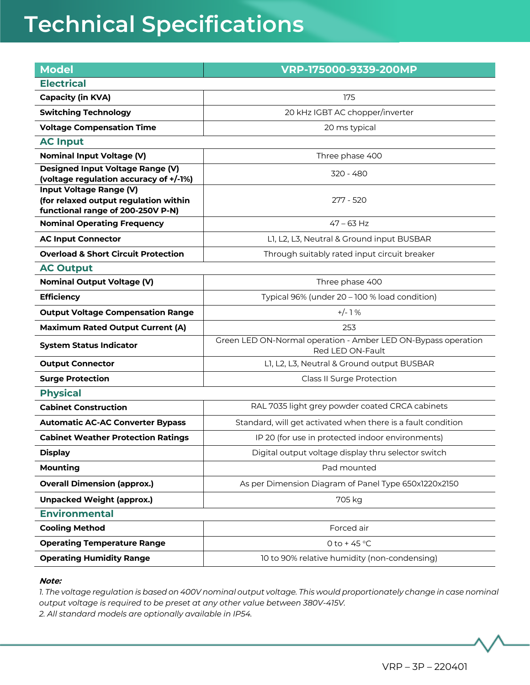| <b>Model</b>                                                      | VRP-175000-9339-200MP                                                             |  |
|-------------------------------------------------------------------|-----------------------------------------------------------------------------------|--|
| <b>Electrical</b>                                                 |                                                                                   |  |
| <b>Capacity (in KVA)</b>                                          | 175                                                                               |  |
| <b>Switching Technology</b>                                       | 20 kHz IGBT AC chopper/inverter                                                   |  |
| <b>Voltage Compensation Time</b>                                  | 20 ms typical                                                                     |  |
| <b>AC Input</b>                                                   |                                                                                   |  |
| <b>Nominal Input Voltage (V)</b>                                  | Three phase 400                                                                   |  |
| <b>Designed Input Voltage Range (V)</b>                           | 320 - 480                                                                         |  |
| (voltage regulation accuracy of +/-1%)<br>Input Voltage Range (V) |                                                                                   |  |
| (for relaxed output regulation within                             | 277 - 520                                                                         |  |
| functional range of 200-250V P-N)                                 |                                                                                   |  |
| <b>Nominal Operating Frequency</b>                                | $47 - 63$ Hz                                                                      |  |
| <b>AC Input Connector</b>                                         | L1, L2, L3, Neutral & Ground input BUSBAR                                         |  |
| <b>Overload &amp; Short Circuit Protection</b>                    | Through suitably rated input circuit breaker                                      |  |
| <b>AC Output</b>                                                  |                                                                                   |  |
| <b>Nominal Output Voltage (V)</b>                                 | Three phase 400                                                                   |  |
| <b>Efficiency</b>                                                 | Typical 96% (under 20 - 100 % load condition)                                     |  |
| <b>Output Voltage Compensation Range</b>                          | $+/-1%$                                                                           |  |
| <b>Maximum Rated Output Current (A)</b>                           | 253                                                                               |  |
| <b>System Status Indicator</b>                                    | Green LED ON-Normal operation - Amber LED ON-Bypass operation<br>Red LED ON-Fault |  |
| <b>Output Connector</b>                                           | L1, L2, L3, Neutral & Ground output BUSBAR                                        |  |
| <b>Surge Protection</b>                                           | Class II Surge Protection                                                         |  |
| <b>Physical</b>                                                   |                                                                                   |  |
| <b>Cabinet Construction</b>                                       | RAL 7035 light grey powder coated CRCA cabinets                                   |  |
| <b>Automatic AC-AC Converter Bypass</b>                           | Standard, will get activated when there is a fault condition                      |  |
| <b>Cabinet Weather Protection Ratings</b>                         | IP 20 (for use in protected indoor environments)                                  |  |
| <b>Display</b>                                                    | Digital output voltage display thru selector switch                               |  |
| <b>Mounting</b>                                                   | Pad mounted                                                                       |  |
| <b>Overall Dimension (approx.)</b>                                | As per Dimension Diagram of Panel Type 650x1220x2150                              |  |
| <b>Unpacked Weight (approx.)</b>                                  | 705 kg                                                                            |  |
| <b>Environmental</b>                                              |                                                                                   |  |
| <b>Cooling Method</b>                                             | Forced air                                                                        |  |
| <b>Operating Temperature Range</b>                                | 0 to +45 $^{\circ}$ C                                                             |  |
| <b>Operating Humidity Range</b>                                   | 10 to 90% relative humidity (non-condensing)                                      |  |
|                                                                   |                                                                                   |  |

#### **Note:**

*1. The voltage regulation is based on 400V nominal output voltage. This would proportionately change in case nominal output voltage is required to be preset at any other value between 380V-415V. 2. All standard models are optionally available in IP54.*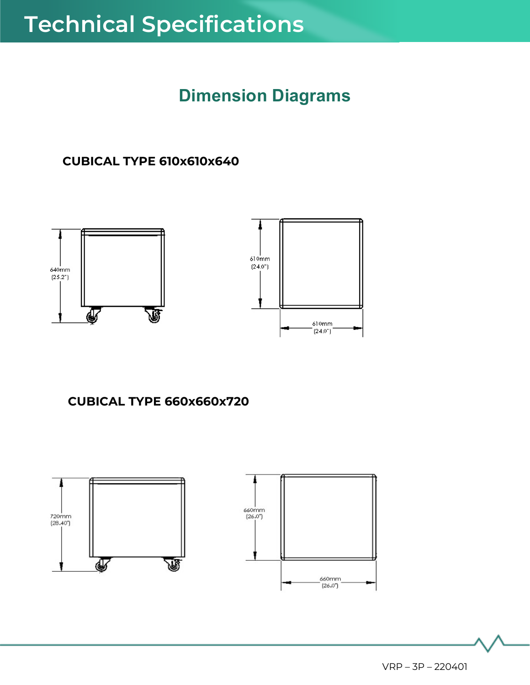### **Dimension Diagrams**

### **CUBICAL TYPE 610x610x640**



### **CUBICAL TYPE 660x660x720**

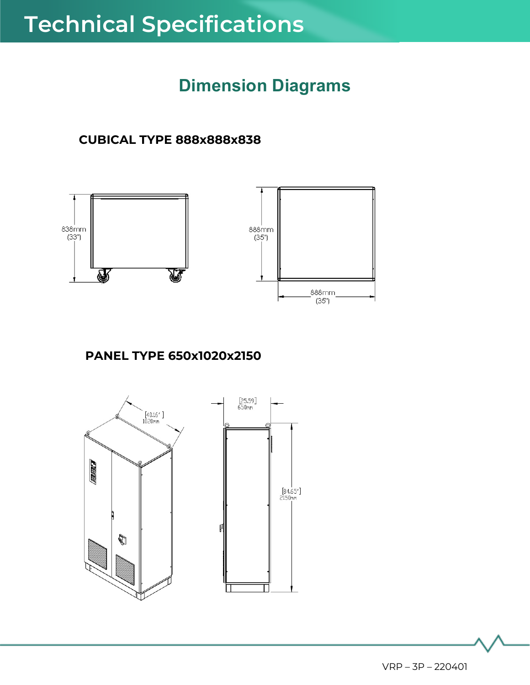### **Dimension Diagrams**

### **CUBICAL TYPE 888x888x838**



### **PANEL TYPE 650x1020x2150**